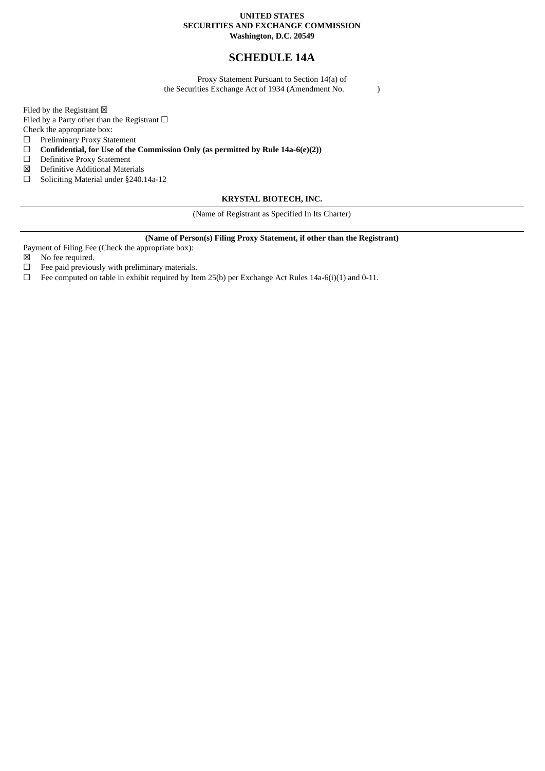#### **UNITED STATES SECURITIES AND EXCHANGE COMMISSION Washington, D.C. 20549**

# **SCHEDULE 14A**

Proxy Statement Pursuant to Section 14(a) of the Securities Exchange Act of 1934 (Amendment No. )

Filed by the Registrant  $\boxtimes$ 

Filed by a Party other than the Registrant  $\Box$ 

Check the appropriate box:<br>  $\Box$  Preliminary Proxy Sta

Preliminary Proxy Statement

☐ **Confidential, for Use of the Commission Only (as permitted by Rule 14a-6(e)(2))**

- ☐ Definitive Proxy Statement
- ☒ Definitive Additional Materials
- ☐ Soliciting Material under §240.14a-12

### **KRYSTAL BIOTECH, INC.**

(Name of Registrant as Specified In Its Charter)

### **(Name of Person(s) Filing Proxy Statement, if other than the Registrant)**

Payment of Filing Fee (Check the appropriate box):<br> $\boxtimes$  No fee required.

No fee required.

 $\Box$  Fee paid previously with preliminary materials.

 $\Box$  Fee computed on table in exhibit required by Item 25(b) per Exchange Act Rules 14a-6(i)(1) and 0-11.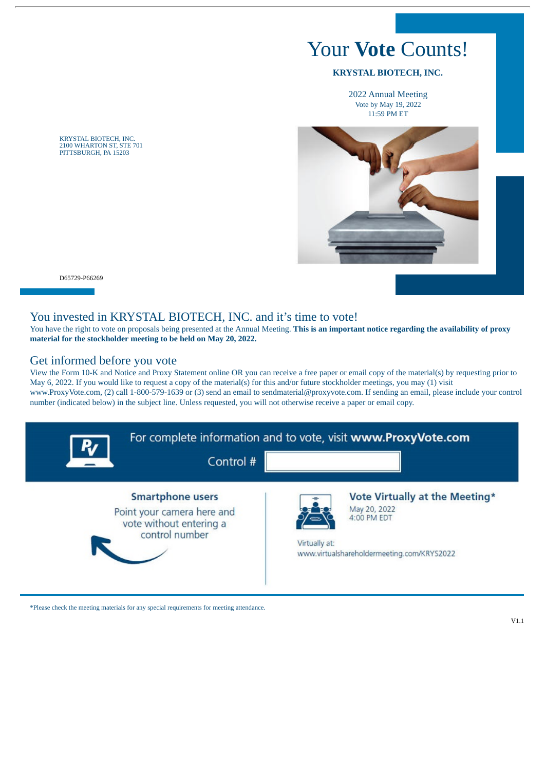# Your **Vote** Counts!

### **KRYSTAL BIOTECH, INC.**

2022 Annual Meeting Vote by May 19, 2022 11:59 PM ET



2100 WHARTON ST, STE 701 PITTSBURGH, PA 15203

KRYSTAL BIOTECH, INC.

D65729-P66269

### You invested in KRYSTAL BIOTECH, INC. and it's time to vote!

You have the right to vote on proposals being presented at the Annual Meeting. **This is an important notice regarding the availability of proxy material for the stockholder meeting to be held on May 20, 2022.**

## Get informed before you vote

View the Form 10-K and Notice and Proxy Statement online OR you can receive a free paper or email copy of the material(s) by requesting prior to May 6, 2022. If you would like to request a copy of the material(s) for this and/or future stockholder meetings, you may (1) visit www.ProxyVote.com, (2) call 1-800-579-1639 or (3) send an email to sendmaterial@proxyvote.com. If sending an email, please include your control number (indicated below) in the subject line. Unless requested, you will not otherwise receive a paper or email copy.



\*Please check the meeting materials for any special requirements for meeting attendance.